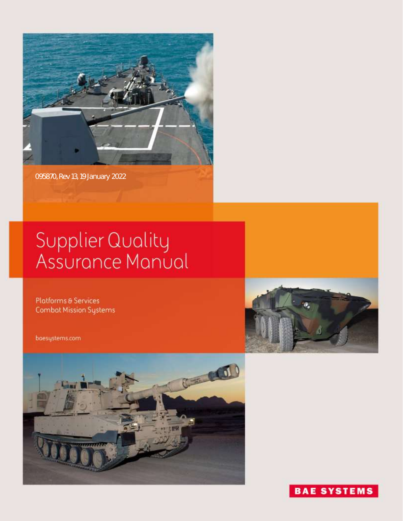

095870, Rev 13, 19 January 2022

# Supplier Quality<br>Assurance Manual

**Platforms & Services Combot Mission Systems** 







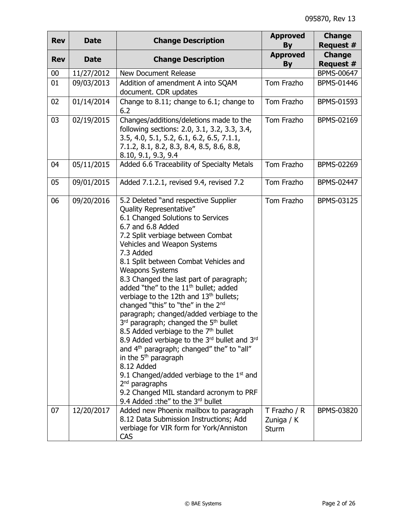| <b>Rev</b> | <b>Date</b> | <b>Change Description</b>                                                                                                                                                                                                                                                                                                                                                                                                                                                                                                                                                                                                                                                                                                                                                                                                                                                                                                     | <b>Approved</b><br><b>By</b>                 | <b>Change</b><br>Request # |
|------------|-------------|-------------------------------------------------------------------------------------------------------------------------------------------------------------------------------------------------------------------------------------------------------------------------------------------------------------------------------------------------------------------------------------------------------------------------------------------------------------------------------------------------------------------------------------------------------------------------------------------------------------------------------------------------------------------------------------------------------------------------------------------------------------------------------------------------------------------------------------------------------------------------------------------------------------------------------|----------------------------------------------|----------------------------|
| <b>Rev</b> | <b>Date</b> | <b>Change Description</b>                                                                                                                                                                                                                                                                                                                                                                                                                                                                                                                                                                                                                                                                                                                                                                                                                                                                                                     | <b>Approved</b><br><b>By</b>                 | <b>Change</b><br>Request # |
| $00\,$     | 11/27/2012  | <b>New Document Release</b>                                                                                                                                                                                                                                                                                                                                                                                                                                                                                                                                                                                                                                                                                                                                                                                                                                                                                                   |                                              | BPMS-00647                 |
| 01         | 09/03/2013  | Addition of amendment A into SQAM<br>document. CDR updates                                                                                                                                                                                                                                                                                                                                                                                                                                                                                                                                                                                                                                                                                                                                                                                                                                                                    | Tom Frazho                                   | BPMS-01446                 |
| 02         | 01/14/2014  | Change to 8.11; change to 6.1; change to<br>6.2                                                                                                                                                                                                                                                                                                                                                                                                                                                                                                                                                                                                                                                                                                                                                                                                                                                                               | Tom Frazho                                   | BPMS-01593                 |
| 03         | 02/19/2015  | Changes/additions/deletions made to the<br>following sections: 2.0, 3.1, 3.2, 3.3, 3.4,<br>3.5, 4.0, 5.1, 5.2, 6.1, 6.2, 6.5, 7.1.1,<br>7.1.2, 8.1, 8.2, 8.3, 8.4, 8.5, 8.6, 8.8,<br>8.10, 9.1, 9.3, 9.4                                                                                                                                                                                                                                                                                                                                                                                                                                                                                                                                                                                                                                                                                                                      | Tom Frazho                                   | BPMS-02169                 |
| 04         | 05/11/2015  | Added 6.6 Traceability of Specialty Metals                                                                                                                                                                                                                                                                                                                                                                                                                                                                                                                                                                                                                                                                                                                                                                                                                                                                                    | Tom Frazho                                   | BPMS-02269                 |
| 05         | 09/01/2015  | Added 7.1.2.1, revised 9.4, revised 7.2                                                                                                                                                                                                                                                                                                                                                                                                                                                                                                                                                                                                                                                                                                                                                                                                                                                                                       | Tom Frazho                                   | BPMS-02447                 |
| 06         | 09/20/2016  | 5.2 Deleted "and respective Supplier<br>Quality Representative"<br>6.1 Changed Solutions to Services<br>6.7 and 6.8 Added<br>7.2 Split verbiage between Combat<br>Vehicles and Weapon Systems<br>7.3 Added<br>8.1 Split between Combat Vehicles and<br><b>Weapons Systems</b><br>8.3 Changed the last part of paragraph;<br>added "the" to the $11th$ bullet; added<br>verbiage to the 12th and 13 <sup>th</sup> bullets;<br>changed "this" to "the" in the 2 <sup>nd</sup><br>paragraph; changed/added verbiage to the<br>$3rd$ paragraph; changed the $5th$ bullet<br>8.5 Added verbiage to the 7 <sup>th</sup> bullet<br>8.9 Added verbiage to the 3rd bullet and 3rd<br>and 4 <sup>th</sup> paragraph; changed" the" to "all"<br>in the $5th$ paragraph<br>8.12 Added<br>9.1 Changed/added verbiage to the $1st$ and<br>$2nd$ paragraphs<br>9.2 Changed MIL standard acronym to PRF<br>9.4 Added : the" to the 3rd bullet | Tom Frazho                                   | BPMS-03125                 |
| 07         | 12/20/2017  | Added new Phoenix mailbox to paragraph<br>8.12 Data Submission Instructions; Add<br>verbiage for VIR form for York/Anniston<br>CAS                                                                                                                                                                                                                                                                                                                                                                                                                                                                                                                                                                                                                                                                                                                                                                                            | $T$ Frazho / R<br>Zuniga / K<br><b>Sturm</b> | <b>BPMS-03820</b>          |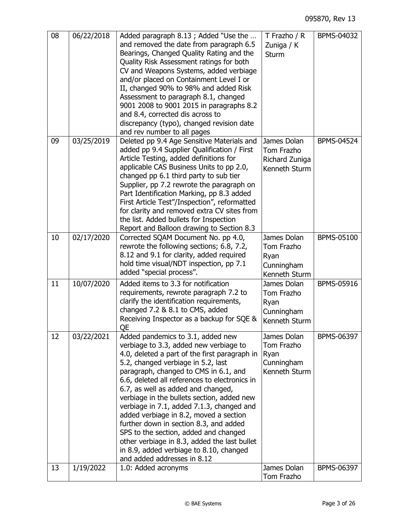| 08 | 06/22/2018 | Added paragraph 8.13; Added "Use the<br>and removed the date from paragraph 6.5             | $T$ Frazho / R<br>Zuniga / K | BPMS-04032        |
|----|------------|---------------------------------------------------------------------------------------------|------------------------------|-------------------|
|    |            | Bearings, Changed Quality Rating and the<br>Quality Risk Assessment ratings for both        | <b>Sturm</b>                 |                   |
|    |            | CV and Weapons Systems, added verbiage                                                      |                              |                   |
|    |            | and/or placed on Containment Level I or<br>II, changed 90% to 98% and added Risk            |                              |                   |
|    |            | Assessment to paragraph 8.1, changed                                                        |                              |                   |
|    |            | 9001 2008 to 9001 2015 in paragraphs 8.2                                                    |                              |                   |
|    |            | and 8.4, corrected dis across to<br>discrepancy (typo), changed revision date               |                              |                   |
|    |            | and rev number to all pages                                                                 |                              |                   |
| 09 | 03/25/2019 | Deleted pp 9.4 Age Sensitive Materials and<br>added pp 9.4 Supplier Qualification / First   | James Dolan<br>Tom Frazho    | BPMS-04524        |
|    |            | Article Testing, added definitions for                                                      | Richard Zuniga               |                   |
|    |            | applicable CAS Business Units to pp 2.0,                                                    | Kenneth Sturm                |                   |
|    |            | changed pp 6.1 third party to sub tier<br>Supplier, pp 7.2 rewrote the paragraph on         |                              |                   |
|    |            | Part Identification Marking, pp 8.3 added                                                   |                              |                   |
|    |            | First Article Test"/Inspection", reformatted<br>for clarity and removed extra CV sites from |                              |                   |
|    |            | the list. Added bullets for Inspection                                                      |                              |                   |
|    |            | Report and Balloon drawing to Section 8.3                                                   |                              |                   |
| 10 | 02/17/2020 | Corrected SQAM Document No. pp 4.0,<br>rewrote the following sections; 6.8, 7.2,            | James Dolan<br>Tom Frazho    | <b>BPMS-05100</b> |
|    |            | 8.12 and 9.1 for clarity, added required                                                    | Ryan                         |                   |
|    |            | hold time visual/NDT inspection, pp 7.1<br>added "special process".                         | Cunningham                   |                   |
| 11 | 10/07/2020 | Added items to 3.3 for notification                                                         | Kenneth Sturm<br>James Dolan | BPMS-05916        |
|    |            | requirements, rewrote paragraph 7.2 to                                                      | Tom Frazho                   |                   |
|    |            | clarify the identification requirements,<br>changed 7.2 & 8.1 to CMS, added                 | Ryan                         |                   |
|    |            | Receiving Inspector as a backup for SQE &                                                   | Cunningham<br>Kenneth Sturm  |                   |
|    |            | QE                                                                                          |                              |                   |
| 12 | 03/22/2021 | Added pandemics to 3.1, added new<br>verbiage to 3.3, added new verbiage to                 | James Dolan<br>Tom Frazho    | BPMS-06397        |
|    |            | 4.0, deleted a part of the first paragraph in                                               | Ryan                         |                   |
|    |            | 5.2, changed verbiage in 5.2, last<br>paragraph, changed to CMS in 6.1, and                 | Cunningham<br>Kenneth Sturm  |                   |
|    |            | 6.6, deleted all references to electronics in                                               |                              |                   |
|    |            | 6.7, as well as added and changed,                                                          |                              |                   |
|    |            | verbiage in the bullets section, added new<br>verbiage in 7.1, added 7.1.3, changed and     |                              |                   |
|    |            | added verbiage in 8.2, moved a section                                                      |                              |                   |
|    |            | further down in section 8.3, and added<br>SPS to the section, added and changed             |                              |                   |
|    |            | other verbiage in 8.3, added the last bullet                                                |                              |                   |
|    |            | in 8.9, added verbiage to 8.10, changed<br>and added addresses in 8.12                      |                              |                   |
| 13 | 1/19/2022  | 1.0: Added acronyms                                                                         | James Dolan                  | BPMS-06397        |
|    |            |                                                                                             | Tom Frazho                   |                   |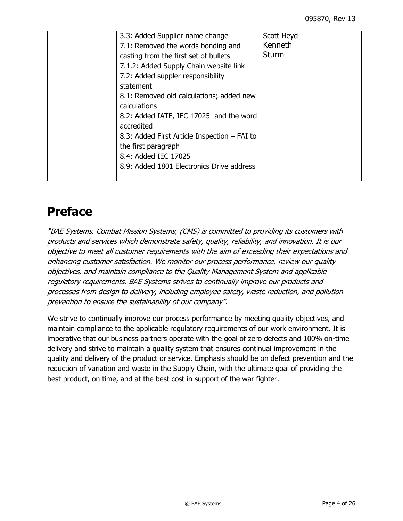|  | 3.3: Added Supplier name change<br>7.1: Removed the words bonding and<br>casting from the first set of bullets<br>7.1.2: Added Supply Chain website link<br>7.2: Added suppler responsibility<br>statement<br>8.1: Removed old calculations; added new<br>calculations<br>8.2: Added IATF, IEC 17025 and the word<br>accredited<br>8.3: Added First Article Inspection - FAI to<br>the first paragraph<br>8.4: Added IEC 17025<br>8.9: Added 1801 Electronics Drive address | Scott Heyd<br>Kenneth<br><b>Sturm</b> |  |
|--|-----------------------------------------------------------------------------------------------------------------------------------------------------------------------------------------------------------------------------------------------------------------------------------------------------------------------------------------------------------------------------------------------------------------------------------------------------------------------------|---------------------------------------|--|
|--|-----------------------------------------------------------------------------------------------------------------------------------------------------------------------------------------------------------------------------------------------------------------------------------------------------------------------------------------------------------------------------------------------------------------------------------------------------------------------------|---------------------------------------|--|

# **Preface**

"BAE Systems, Combat Mission Systems, (CMS) is committed to providing its customers with products and services which demonstrate safety, quality, reliability, and innovation. It is our objective to meet all customer requirements with the aim of exceeding their expectations and enhancing customer satisfaction. We monitor our process performance, review our quality objectives, and maintain compliance to the Quality Management System and applicable regulatory requirements. BAE Systems strives to continually improve our products and processes from design to delivery, including employee safety, waste reduction, and pollution prevention to ensure the sustainability of our company".

We strive to continually improve our process performance by meeting quality objectives, and maintain compliance to the applicable regulatory requirements of our work environment. It is imperative that our business partners operate with the goal of zero defects and 100% on-time delivery and strive to maintain a quality system that ensures continual improvement in the quality and delivery of the product or service. Emphasis should be on defect prevention and the reduction of variation and waste in the Supply Chain, with the ultimate goal of providing the best product, on time, and at the best cost in support of the war fighter.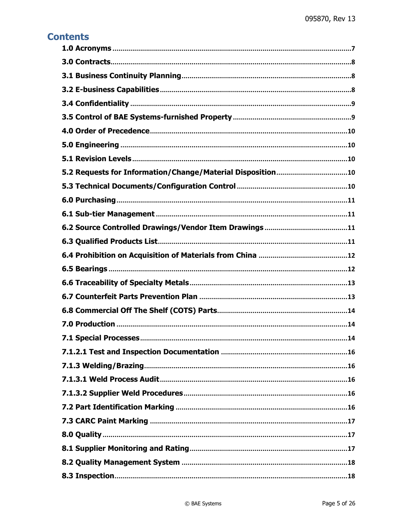# **Contents**

| .14 |
|-----|
|     |
|     |
|     |
|     |
|     |
|     |
|     |
|     |
|     |
|     |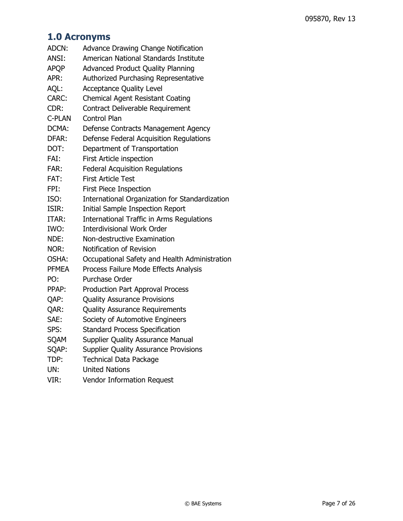# <span id="page-6-0"></span>**1.0 Acronyms**

| ADCN:        | <b>Advance Drawing Change Notification</b>       |
|--------------|--------------------------------------------------|
| ANSI:        | American National Standards Institute            |
| <b>APOP</b>  | <b>Advanced Product Quality Planning</b>         |
| APR:         | Authorized Purchasing Representative             |
| AQL:         | <b>Acceptance Quality Level</b>                  |
| CARC:        | <b>Chemical Agent Resistant Coating</b>          |
| CDR:         | Contract Deliverable Requirement                 |
| C-PLAN       | <b>Control Plan</b>                              |
| DCMA:        | Defense Contracts Management Agency              |
| DFAR:        | Defense Federal Acquisition Regulations          |
| DOT:         | Department of Transportation                     |
| FAI:         | <b>First Article inspection</b>                  |
| FAR:         | <b>Federal Acquisition Regulations</b>           |
| FAT:         | <b>First Article Test</b>                        |
| FPI:         | <b>First Piece Inspection</b>                    |
| ISO:         | International Organization for Standardization   |
| ISIR:        | <b>Initial Sample Inspection Report</b>          |
| ITAR:        | <b>International Traffic in Arms Regulations</b> |
| IWO:         | <b>Interdivisional Work Order</b>                |
| NDE:         | Non-destructive Examination                      |
| NOR:         | Notification of Revision                         |
| OSHA:        | Occupational Safety and Health Administration    |
| <b>PFMEA</b> | Process Failure Mode Effects Analysis            |
| PO:          | <b>Purchase Order</b>                            |
| PPAP:        | <b>Production Part Approval Process</b>          |
| QAP:         | <b>Quality Assurance Provisions</b>              |
| QAR:         | <b>Quality Assurance Requirements</b>            |
| SAE:         | Society of Automotive Engineers                  |
| SPS:         | <b>Standard Process Specification</b>            |
| <b>SQAM</b>  | <b>Supplier Quality Assurance Manual</b>         |
| SQAP:        | <b>Supplier Quality Assurance Provisions</b>     |
| TDP:         | <b>Technical Data Package</b>                    |
| UN:          | <b>United Nations</b>                            |
| VIR:         | <b>Vendor Information Request</b>                |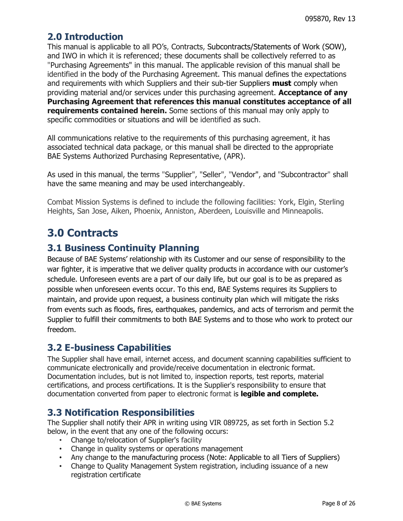# **2.0 Introduction**

This manual is applicable to all PO's, Contracts, Subcontracts/Statements of Work (SOW), and IWO in which it is referenced; these documents shall be collectively referred to as "Purchasing Agreements" in this manual. The applicable revision of this manual shall be identified in the body of the Purchasing Agreement. This manual defines the expectations and requirements with which Suppliers and their sub-tier Suppliers **must** comply when providing material and/or services under this purchasing agreement. **Acceptance of any Purchasing Agreement that references this manual constitutes acceptance of all requirements contained herein.** Some sections of this manual may only apply to specific commodities or situations and will be identified as such.

All communications relative to the requirements of this purchasing agreement, it has associated technical data package, or this manual shall be directed to the appropriate BAE Systems Authorized Purchasing Representative, (APR).

As used in this manual, the terms "Supplier", "Seller", "Vendor", and "Subcontractor" shall have the same meaning and may be used interchangeably.

Combat Mission Systems is defined to include the following facilities: York, Elgin, Sterling Heights, San Jose, Aiken, Phoenix, Anniston, Aberdeen, Louisville and Minneapolis.

# <span id="page-7-0"></span>**3.0 Contracts**

# <span id="page-7-1"></span>**3.1 Business Continuity Planning**

Because of BAE Systems' relationship with its Customer and our sense of responsibility to the war fighter, it is imperative that we deliver quality products in accordance with our customer's schedule. Unforeseen events are a part of our daily life, but our goal is to be as prepared as possible when unforeseen events occur. To this end, BAE Systems requires its Suppliers to maintain, and provide upon request, a business continuity plan which will mitigate the risks from events such as floods, fires, earthquakes, pandemics, and acts of terrorism and permit the Supplier to fulfill their commitments to both BAE Systems and to those who work to protect our freedom.

# <span id="page-7-2"></span>**3.2 E-business Capabilities**

The Supplier shall have email, internet access, and document scanning capabilities sufficient to communicate electronically and provide/receive documentation in electronic format. Documentation includes, but is not limited to, inspection reports, test reports, material certifications, and process certifications. It is the Supplier's responsibility to ensure that documentation converted from paper to electronic format is **legible and complete.**

# **3.3 Notification Responsibilities**

The Supplier shall notify their APR in writing using VIR 089725, as set forth in Section 5.2 below, in the event that any one of the following occurs:

- Change to/relocation of Supplier's facility
- Change in quality systems or operations management
- Any change to the manufacturing process (Note: Applicable to all Tiers of Suppliers)
- Change to Quality Management System registration, including issuance of a new registration certificate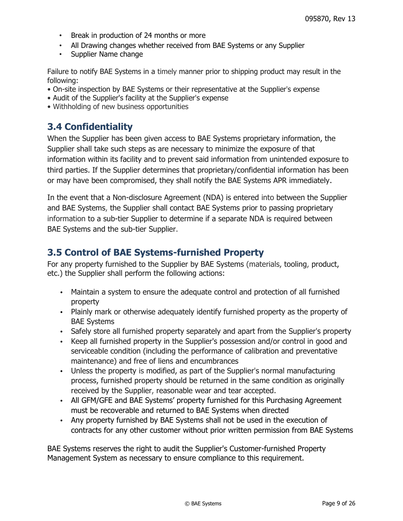- Break in production of 24 months or more
- All Drawing changes whether received from BAE Systems or any Supplier
- Supplier Name change

Failure to notify BAE Systems in a timely manner prior to shipping product may result in the following:

- On-site inspection by BAE Systems or their representative at the Supplier's expense
- Audit of the Supplier's facility at the Supplier's expense
- Withholding of new business opportunities

# <span id="page-8-0"></span>**3.4 Confidentiality**

When the Supplier has been given access to BAE Systems proprietary information, the Supplier shall take such steps as are necessary to minimize the exposure of that information within its facility and to prevent said information from unintended exposure to third parties. If the Supplier determines that proprietary/confidential information has been or may have been compromised, they shall notify the BAE Systems APR immediately.

In the event that a Non-disclosure Agreement (NDA) is entered into between the Supplier and BAE Systems, the Supplier shall contact BAE Systems prior to passing proprietary information to a sub-tier Supplier to determine if a separate NDA is required between BAE Systems and the sub-tier Supplier.

# <span id="page-8-1"></span>**3.5 Control of BAE Systems-furnished Property**

For any property furnished to the Supplier by BAE Systems (materials, tooling, product, etc.) the Supplier shall perform the following actions:

- Maintain a system to ensure the adequate control and protection of all furnished property
- Plainly mark or otherwise adequately identify furnished property as the property of BAE Systems
- Safely store all furnished property separately and apart from the Supplier's property
- Keep all furnished property in the Supplier's possession and/or control in good and serviceable condition (including the performance of calibration and preventative maintenance) and free of liens and encumbrances
- Unless the property is modified, as part of the Supplier's normal manufacturing process, furnished property should be returned in the same condition as originally received by the Supplier, reasonable wear and tear accepted.
- All GFM/GFE and BAE Systems' property furnished for this Purchasing Agreement must be recoverable and returned to BAE Systems when directed
- Any property furnished by BAE Systems shall not be used in the execution of contracts for any other customer without prior written permission from BAE Systems

BAE Systems reserves the right to audit the Supplier's Customer-furnished Property Management System as necessary to ensure compliance to this requirement.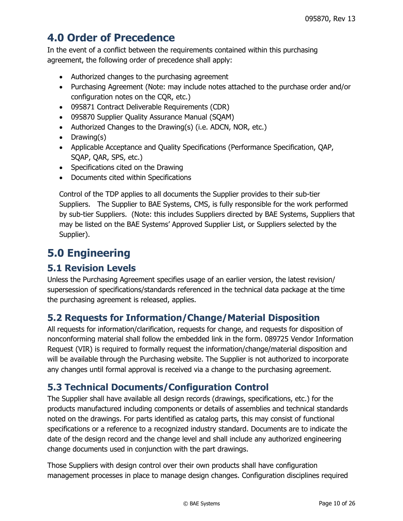# <span id="page-9-0"></span>**4.0 Order of Precedence**

In the event of a conflict between the requirements contained within this purchasing agreement, the following order of precedence shall apply:

- Authorized changes to the purchasing agreement
- Purchasing Agreement (Note: may include notes attached to the purchase order and/or configuration notes on the CQR, etc.)
- 095871 Contract Deliverable Requirements (CDR)
- 095870 Supplier Quality Assurance Manual (SQAM)
- Authorized Changes to the Drawing(s) (i.e. ADCN, NOR, etc.)
- $\bullet$  Drawing(s)
- Applicable Acceptance and Quality Specifications (Performance Specification, QAP, SQAP, QAR, SPS, etc.)
- Specifications cited on the Drawing
- Documents cited within Specifications

Control of the TDP applies to all documents the Supplier provides to their sub-tier Suppliers. The Supplier to BAE Systems, CMS, is fully responsible for the work performed by sub-tier Suppliers. (Note: this includes Suppliers directed by BAE Systems, Suppliers that may be listed on the BAE Systems' Approved Supplier List, or Suppliers selected by the Supplier).

# <span id="page-9-1"></span>**5.0 Engineering**

# <span id="page-9-2"></span>**5.1 Revision Levels**

Unless the Purchasing Agreement specifies usage of an earlier version, the latest revision/ supersession of specifications/standards referenced in the technical data package at the time the purchasing agreement is released, applies.

# <span id="page-9-3"></span>**5.2 Requests for Information/Change/Material Disposition**

All requests for information/clarification, requests for change, and requests for disposition of nonconforming material shall follow the embedded link in the form. 089725 Vendor Information Request (VIR) is required to formally request the information/change/material disposition and will be available through the Purchasing website. The Supplier is not authorized to incorporate any changes until formal approval is received via a change to the purchasing agreement.

# <span id="page-9-4"></span>**5.3 Technical Documents/Configuration Control**

The Supplier shall have available all design records (drawings, specifications, etc.) for the products manufactured including components or details of assemblies and technical standards noted on the drawings. For parts identified as catalog parts, this may consist of functional specifications or a reference to a recognized industry standard. Documents are to indicate the date of the design record and the change level and shall include any authorized engineering change documents used in conjunction with the part drawings.

Those Suppliers with design control over their own products shall have configuration management processes in place to manage design changes. Configuration disciplines required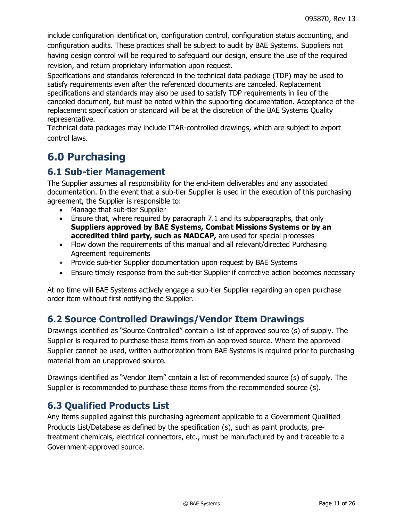include configuration identification, configuration control, configuration status accounting, and configuration audits. These practices shall be subject to audit by BAE Systems. Suppliers not having design control will be required to safeguard our design, ensure the use of the required revision, and return proprietary information upon request.

Specifications and standards referenced in the technical data package (TDP) may be used to satisfy requirements even after the referenced documents are canceled. Replacement specifications and standards may also be used to satisfy TDP requirements in lieu of the canceled document, but must be noted within the supporting documentation. Acceptance of the replacement specification or standard will be at the discretion of the BAE Systems Quality representative.

Technical data packages may include ITAR-controlled drawings, which are subject to export control laws.

# <span id="page-10-0"></span>**6.0 Purchasing**

## <span id="page-10-1"></span>**6.1 Sub-tier Management**

The Supplier assumes all responsibility for the end-item deliverables and any associated documentation. In the event that a sub-tier Supplier is used in the execution of this purchasing agreement, the Supplier is responsible to:

- Manage that sub-tier Supplier
- Ensure that, where required by paragraph 7.1 and its subparagraphs, that only **Suppliers approved by BAE Systems, Combat Missions Systems or by an accredited third party, such as NADCAP,** are used for special processes
- Flow down the requirements of this manual and all relevant/directed Purchasing Agreement requirements
- Provide sub-tier Supplier documentation upon request by BAE Systems
- Ensure timely response from the sub-tier Supplier if corrective action becomes necessary

At no time will BAE Systems actively engage a sub-tier Supplier regarding an open purchase order item without first notifying the Supplier.

# <span id="page-10-2"></span>**6.2 Source Controlled Drawings/Vendor Item Drawings**

Drawings identified as "Source Controlled" contain a list of approved source (s) of supply. The Supplier is required to purchase these items from an approved source. Where the approved Supplier cannot be used, written authorization from BAE Systems is required prior to purchasing material from an unapproved source.

Drawings identified as "Vendor Item" contain a list of recommended source (s) of supply. The Supplier is recommended to purchase these items from the recommended source (s).

# <span id="page-10-3"></span>**6.3 Qualified Products List**

Any items supplied against this purchasing agreement applicable to a Government Qualified Products List/Database as defined by the specification (s), such as paint products, pretreatment chemicals, electrical connectors, etc., must be manufactured by and traceable to a Government-approved source.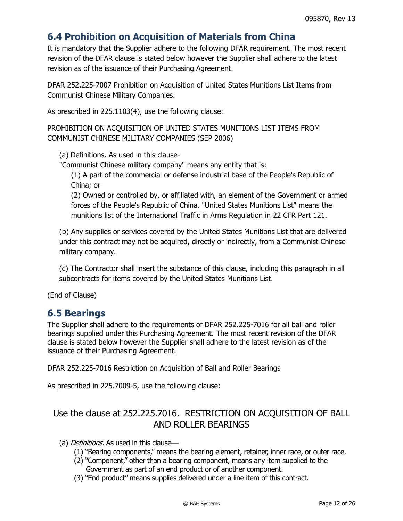# <span id="page-11-0"></span>**6.4 Prohibition on Acquisition of Materials from China**

It is mandatory that the Supplier adhere to the following DFAR requirement. The most recent revision of the DFAR clause is stated below however the Supplier shall adhere to the latest revision as of the issuance of their Purchasing Agreement.

DFAR 252.225-7007 Prohibition on Acquisition of United States Munitions List Items from Communist Chinese Military Companies.

As prescribed in 225.1103(4), use the following clause:

PROHIBITION ON ACQUISITION OF UNITED STATES MUNITIONS LIST ITEMS FROM COMMUNIST CHINESE MILITARY COMPANIES (SEP 2006)

(a) Definitions. As used in this clause-

"Communist Chinese military company" means any entity that is:

(1) A part of the commercial or defense industrial base of the People's Republic of China; or

(2) Owned or controlled by, or affiliated with, an element of the Government or armed forces of the People's Republic of China. "United States Munitions List" means the munitions list of the International Traffic in Arms Regulation in 22 CFR Part 121.

(b) Any supplies or services covered by the United States Munitions List that are delivered under this contract may not be acquired, directly or indirectly, from a Communist Chinese military company.

(c) The Contractor shall insert the substance of this clause, including this paragraph in all subcontracts for items covered by the United States Munitions List.

(End of Clause)

## <span id="page-11-1"></span>**6.5 Bearings**

The Supplier shall adhere to the requirements of DFAR 252.225-7016 for all ball and roller bearings supplied under this Purchasing Agreement. The most recent revision of the DFAR clause is stated below however the Supplier shall adhere to the latest revision as of the issuance of their Purchasing Agreement.

DFAR 252.225-7016 Restriction on Acquisition of Ball and Roller Bearings

As prescribed in 225.7009-5, use the following clause:

# Use the clause at 252.225.7016. RESTRICTION ON ACQUISITION OF BALL AND ROLLER BEARINGS

- (a) *Definitions*. As used in this clause-
	- (1) "Bearing components," means the bearing element, retainer, inner race, or outer race.
	- (2) "Component," other than a bearing component, means any item supplied to the Government as part of an end product or of another component.
	- (3) "End product" means supplies delivered under a line item of this contract.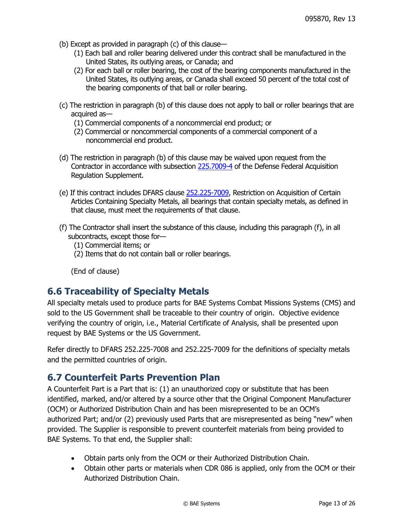- (b) Except as provided in paragraph (c) of this clause—
	- (1) Each ball and roller bearing delivered under this contract shall be manufactured in the United States, its outlying areas, or Canada; and
	- (2) For each ball or roller bearing, the cost of the bearing components manufactured in the United States, its outlying areas, or Canada shall exceed 50 percent of the total cost of the bearing components of that ball or roller bearing.
- (c) The restriction in paragraph (b) of this clause does not apply to ball or roller bearings that are acquired as—
	- (1) Commercial components of a noncommercial end product; or
	- (2) Commercial or noncommercial components of a commercial component of a noncommercial end product.
- (d) The restriction in paragraph (b) of this clause may be waived upon request from the Contractor in accordance with subsection [225.7009-4](http://www.acq.osd.mil/dpap/dars/dfars/html/current/225_70.htm#225.7009-4) of the Defense Federal Acquisition Regulation Supplement.
- (e) If this contract includes DFARS clause [252.225-7009,](http://www.acq.osd.mil/dpap/dars/dfars/html/current/252225.htm#252.225-7009) Restriction on Acquisition of Certain Articles Containing Specialty Metals, all bearings that contain specialty metals, as defined in that clause, must meet the requirements of that clause.
- (f) The Contractor shall insert the substance of this clause, including this paragraph (f), in all subcontracts, except those for—
	- (1) Commercial items; or
	- (2) Items that do not contain ball or roller bearings.

(End of clause)

# <span id="page-12-0"></span>**6.6 Traceability of Specialty Metals**

All specialty metals used to produce parts for BAE Systems Combat Missions Systems (CMS) and sold to the US Government shall be traceable to their country of origin. Objective evidence verifying the country of origin, i.e., Material Certificate of Analysis, shall be presented upon request by BAE Systems or the US Government.

Refer directly to DFARS 252.225-7008 and 252.225-7009 for the definitions of specialty metals and the permitted countries of origin.

# <span id="page-12-1"></span>**6.7 Counterfeit Parts Prevention Plan**

A Counterfeit Part is a Part that is: (1) an unauthorized copy or substitute that has been identified, marked, and/or altered by a source other that the Original Component Manufacturer (OCM) or Authorized Distribution Chain and has been misrepresented to be an OCM's authorized Part; and/or (2) previously used Parts that are misrepresented as being "new" when provided. The Supplier is responsible to prevent counterfeit materials from being provided to BAE Systems. To that end, the Supplier shall:

- Obtain parts only from the OCM or their Authorized Distribution Chain.
- Obtain other parts or materials when CDR 086 is applied, only from the OCM or their Authorized Distribution Chain.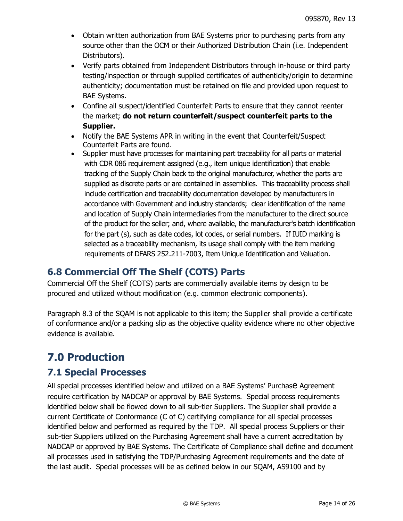- Obtain written authorization from BAE Systems prior to purchasing parts from any source other than the OCM or their Authorized Distribution Chain (i.e. Independent Distributors).
- Verify parts obtained from Independent Distributors through in-house or third party testing/inspection or through supplied certificates of authenticity/origin to determine authenticity; documentation must be retained on file and provided upon request to BAE Systems.
- Confine all suspect/identified Counterfeit Parts to ensure that they cannot reenter the market; **do not return counterfeit/suspect counterfeit parts to the Supplier.**
- Notify the BAE Systems APR in writing in the event that Counterfeit/Suspect Counterfeit Parts are found.
- Supplier must have processes for maintaining part traceability for all parts or material with CDR 086 requirement assigned (e.g., item unique identification) that enable tracking of the Supply Chain back to the original manufacturer, whether the parts are supplied as discrete parts or are contained in assemblies. This traceability process shall include certification and traceability documentation developed by manufacturers in accordance with Government and industry standards; clear identification of the name and location of Supply Chain intermediaries from the manufacturer to the direct source of the product for the seller; and, where available, the manufacturer's batch identification for the part (s), such as date codes, lot codes, or serial numbers. If IUID marking is selected as a traceability mechanism, its usage shall comply with the item marking requirements of DFARS 252.211-7003, Item Unique Identification and Valuation.

# <span id="page-13-0"></span>**6.8 Commercial Off The Shelf (COTS) Parts**

Commercial Off the Shelf (COTS) parts are commercially available items by design to be procured and utilized without modification (e.g. common electronic components).

Paragraph 8.3 of the SQAM is not applicable to this item; the Supplier shall provide a certificate of conformance and/or a packing slip as the objective quality evidence where no other objective evidence is available.

# <span id="page-13-1"></span>**7.0 Production**

# <span id="page-13-2"></span>**7.1 Special Processes**

All special processes identified below and utilized on a BAE Systems' Purchase Agreement require certification by NADCAP or approval by BAE Systems. Special process requirements identified below shall be flowed down to all sub-tier Suppliers. The Supplier shall provide a current Certificate of Conformance (C of C) certifying compliance for all special processes identified below and performed as required by the TDP. All special process Suppliers or their sub-tier Suppliers utilized on the Purchasing Agreement shall have a current accreditation by NADCAP or approved by BAE Systems. The Certificate of Compliance shall define and document all processes used in satisfying the TDP/Purchasing Agreement requirements and the date of the last audit. Special processes will be as defined below in our SQAM, AS9100 and by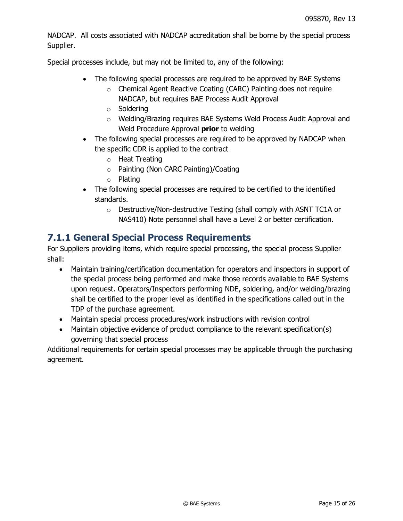NADCAP. All costs associated with NADCAP accreditation shall be borne by the special process Supplier.

Special processes include, but may not be limited to, any of the following:

- The following special processes are required to be approved by BAE Systems
	- o Chemical Agent Reactive Coating (CARC) Painting does not require NADCAP, but requires BAE Process Audit Approval
	- o Soldering
	- o Welding/Brazing requires BAE Systems Weld Process Audit Approval and Weld Procedure Approval **prior** to welding
- The following special processes are required to be approved by NADCAP when the specific CDR is applied to the contract
	- o Heat Treating
	- o Painting (Non CARC Painting)/Coating
	- o Plating
- The following special processes are required to be certified to the identified standards.
	- o Destructive/Non-destructive Testing (shall comply with ASNT TC1A or NAS410) Note personnel shall have a Level 2 or better certification.

## **7.1.1 General Special Process Requirements**

For Suppliers providing items, which require special processing, the special process Supplier shall:

- Maintain training/certification documentation for operators and inspectors in support of the special process being performed and make those records available to BAE Systems upon request. Operators/Inspectors performing NDE, soldering, and/or welding/brazing shall be certified to the proper level as identified in the specifications called out in the TDP of the purchase agreement.
- Maintain special process procedures/work instructions with revision control
- Maintain objective evidence of product compliance to the relevant specification(s) governing that special process

Additional requirements for certain special processes may be applicable through the purchasing agreement.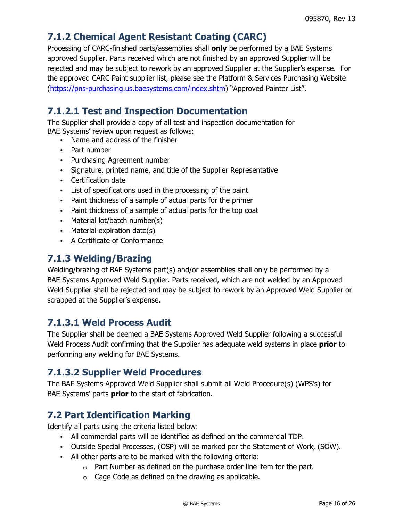# **7.1.2 Chemical Agent Resistant Coating (CARC)**

Processing of CARC-finished parts/assemblies shall **only** be performed by a BAE Systems approved Supplier. Parts received which are not finished by an approved Supplier will be rejected and may be subject to rework by an approved Supplier at the Supplier's expense. For the approved CARC Paint supplier list, please see the Platform & Services Purchasing Website [\(https://pns-purchasing.us.baesystems.com/index.shtm](https://pns-purchasing.us.baesystems.com/index.shtm)) "Approved Painter List".

# <span id="page-15-0"></span>**7.1.2.1 Test and Inspection Documentation**

The Supplier shall provide a copy of all test and inspection documentation for BAE Systems' review upon request as follows:

- Name and address of the finisher
- Part number
- Purchasing Agreement number
- Signature, printed name, and title of the Supplier Representative
- Certification date
- List of specifications used in the processing of the paint
- Paint thickness of a sample of actual parts for the primer
- Paint thickness of a sample of actual parts for the top coat
- Material lot/batch number(s)
- Material expiration date(s)
- A Certificate of Conformance

## <span id="page-15-1"></span>**7.1.3 Welding/Brazing**

Welding/brazing of BAE Systems part(s) and/or assemblies shall only be performed by a BAE Systems Approved Weld Supplier. Parts received, which are not welded by an Approved Weld Supplier shall be rejected and may be subject to rework by an Approved Weld Supplier or scrapped at the Supplier's expense.

## <span id="page-15-2"></span>**7.1.3.1 Weld Process Audit**

The Supplier shall be deemed a BAE Systems Approved Weld Supplier following a successful Weld Process Audit confirming that the Supplier has adequate weld systems in place **prior** to performing any welding for BAE Systems.

## <span id="page-15-3"></span>**7.1.3.2 Supplier Weld Procedures**

The BAE Systems Approved Weld Supplier shall submit all Weld Procedure(s) (WPS's) for BAE Systems' parts **prior** to the start of fabrication.

# <span id="page-15-4"></span>**7.2 Part Identification Marking**

Identify all parts using the criteria listed below:

- All commercial parts will be identified as defined on the commercial TDP.
- Outside Special Processes, (OSP) will be marked per the Statement of Work, (SOW).
- All other parts are to be marked with the following criteria:
	- o Part Number as defined on the purchase order line item for the part.
	- $\circ$  Cage Code as defined on the drawing as applicable.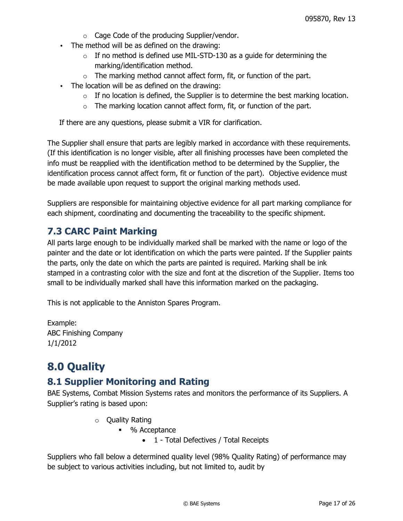- o Cage Code of the producing Supplier/vendor.
- The method will be as defined on the drawing:
	- $\circ$  If no method is defined use MIL-STD-130 as a quide for determining the marking/identification method.
	- $\circ$  The marking method cannot affect form, fit, or function of the part.
- The location will be as defined on the drawing:
	- $\circ$  If no location is defined, the Supplier is to determine the best marking location.
	- $\circ$  The marking location cannot affect form, fit, or function of the part.

If there are any questions, please submit a VIR for clarification.

The Supplier shall ensure that parts are legibly marked in accordance with these requirements. (If this identification is no longer visible, after all finishing processes have been completed the info must be reapplied with the identification method to be determined by the Supplier, the identification process cannot affect form, fit or function of the part). Objective evidence must be made available upon request to support the original marking methods used.

Suppliers are responsible for maintaining objective evidence for all part marking compliance for each shipment, coordinating and documenting the traceability to the specific shipment.

# <span id="page-16-0"></span>**7.3 CARC Paint Marking**

All parts large enough to be individually marked shall be marked with the name or logo of the painter and the date or lot identification on which the parts were painted. If the Supplier paints the parts, only the date on which the parts are painted is required. Marking shall be ink stamped in a contrasting color with the size and font at the discretion of the Supplier. Items too small to be individually marked shall have this information marked on the packaging.

This is not applicable to the Anniston Spares Program.

Example: ABC Finishing Company 1/1/2012

# <span id="page-16-1"></span>**8.0 Quality**

# <span id="page-16-2"></span>**8.1 Supplier Monitoring and Rating**

BAE Systems, Combat Mission Systems rates and monitors the performance of its Suppliers. A Supplier's rating is based upon:

- o Quality Rating
	- % Acceptance
		- 1 Total Defectives / Total Receipts

Suppliers who fall below a determined quality level (98% Quality Rating) of performance may be subject to various activities including, but not limited to, audit by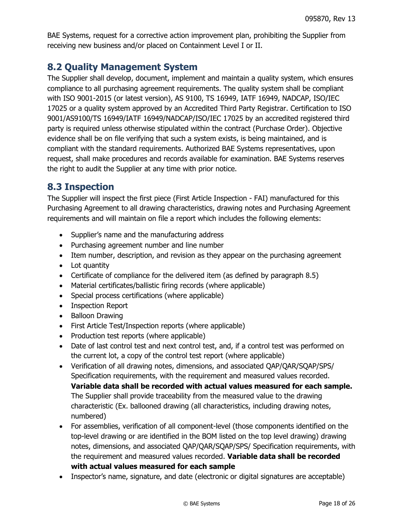BAE Systems, request for a corrective action improvement plan, prohibiting the Supplier from receiving new business and/or placed on Containment Level I or II.

# <span id="page-17-0"></span>**8.2 Quality Management System**

The Supplier shall develop, document, implement and maintain a quality system, which ensures compliance to all purchasing agreement requirements. The quality system shall be compliant with ISO 9001-2015 (or latest version), AS 9100, TS 16949, IATF 16949, NADCAP, ISO/IEC 17025 or a quality system approved by an Accredited Third Party Registrar. Certification to ISO 9001/AS9100/TS 16949/IATF 16949/NADCAP/ISO/IEC 17025 by an accredited registered third party is required unless otherwise stipulated within the contract (Purchase Order). Objective evidence shall be on file verifying that such a system exists, is being maintained, and is compliant with the standard requirements. Authorized BAE Systems representatives, upon request, shall make procedures and records available for examination. BAE Systems reserves the right to audit the Supplier at any time with prior notice.

# <span id="page-17-1"></span>**8.3 Inspection**

The Supplier will inspect the first piece (First Article Inspection - FAI) manufactured for this Purchasing Agreement to all drawing characteristics, drawing notes and Purchasing Agreement requirements and will maintain on file a report which includes the following elements:

- Supplier's name and the manufacturing address
- Purchasing agreement number and line number
- Item number, description, and revision as they appear on the purchasing agreement
- Lot quantity
- Certificate of compliance for the delivered item (as defined by paragraph 8.5)
- Material certificates/ballistic firing records (where applicable)
- Special process certifications (where applicable)
- Inspection Report
- Balloon Drawing
- First Article Test/Inspection reports (where applicable)
- Production test reports (where applicable)
- Date of last control test and next control test, and, if a control test was performed on the current lot, a copy of the control test report (where applicable)
- Verification of all drawing notes, dimensions, and associated QAP/QAR/SQAP/SPS/ Specification requirements, with the requirement and measured values recorded. **Variable data shall be recorded with actual values measured for each sample.**  The Supplier shall provide traceability from the measured value to the drawing characteristic (Ex. ballooned drawing (all characteristics, including drawing notes, numbered)
- For assemblies, verification of all component-level (those components identified on the top-level drawing or are identified in the BOM listed on the top level drawing) drawing notes, dimensions, and associated QAP/QAR/SQAP/SPS/ Specification requirements, with the requirement and measured values recorded. **Variable data shall be recorded with actual values measured for each sample**
- Inspector's name, signature, and date (electronic or digital signatures are acceptable)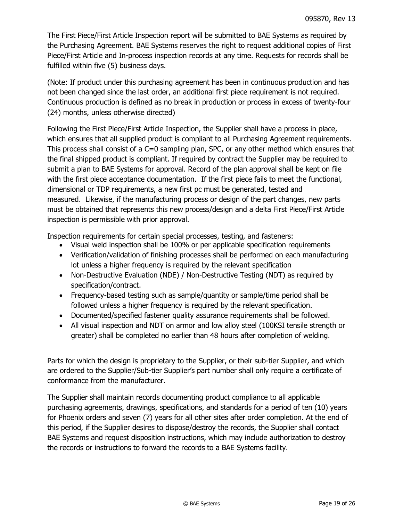The First Piece/First Article Inspection report will be submitted to BAE Systems as required by the Purchasing Agreement. BAE Systems reserves the right to request additional copies of First Piece/First Article and In-process inspection records at any time. Requests for records shall be fulfilled within five (5) business days.

(Note: If product under this purchasing agreement has been in continuous production and has not been changed since the last order, an additional first piece requirement is not required. Continuous production is defined as no break in production or process in excess of twenty-four (24) months, unless otherwise directed)

Following the First Piece/First Article Inspection, the Supplier shall have a process in place, which ensures that all supplied product is compliant to all Purchasing Agreement requirements. This process shall consist of a C=0 sampling plan, SPC, or any other method which ensures that the final shipped product is compliant. If required by contract the Supplier may be required to submit a plan to BAE Systems for approval. Record of the plan approval shall be kept on file with the first piece acceptance documentation. If the first piece fails to meet the functional, dimensional or TDP requirements, a new first pc must be generated, tested and measured. Likewise, if the manufacturing process or design of the part changes, new parts must be obtained that represents this new process/design and a delta First Piece/First Article inspection is permissible with prior approval.

Inspection requirements for certain special processes, testing, and fasteners:

- Visual weld inspection shall be 100% or per applicable specification requirements
- Verification/validation of finishing processes shall be performed on each manufacturing lot unless a higher frequency is required by the relevant specification
- Non-Destructive Evaluation (NDE) / Non-Destructive Testing (NDT) as required by specification/contract.
- Frequency-based testing such as sample/quantity or sample/time period shall be followed unless a higher frequency is required by the relevant specification.
- Documented/specified fastener quality assurance requirements shall be followed.
- All visual inspection and NDT on armor and low alloy steel (100KSI tensile strength or greater) shall be completed no earlier than 48 hours after completion of welding.

Parts for which the design is proprietary to the Supplier, or their sub-tier Supplier, and which are ordered to the Supplier/Sub-tier Supplier's part number shall only require a certificate of conformance from the manufacturer.

The Supplier shall maintain records documenting product compliance to all applicable purchasing agreements, drawings, specifications, and standards for a period of ten (10) years for Phoenix orders and seven (7) years for all other sites after order completion. At the end of this period, if the Supplier desires to dispose/destroy the records, the Supplier shall contact BAE Systems and request disposition instructions, which may include authorization to destroy the records or instructions to forward the records to a BAE Systems facility.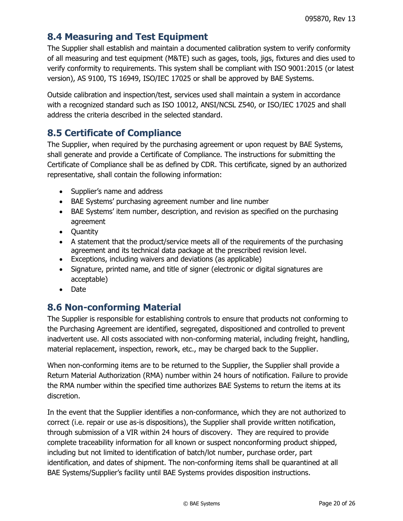# <span id="page-19-0"></span>**8.4 Measuring and Test Equipment**

The Supplier shall establish and maintain a documented calibration system to verify conformity of all measuring and test equipment (M&TE) such as gages, tools, jigs, fixtures and dies used to verify conformity to requirements. This system shall be compliant with ISO 9001:2015 (or latest version), AS 9100, TS 16949, ISO/IEC 17025 or shall be approved by BAE Systems.

Outside calibration and inspection/test, services used shall maintain a system in accordance with a recognized standard such as ISO 10012, ANSI/NCSL Z540, or ISO/IEC 17025 and shall address the criteria described in the selected standard.

# <span id="page-19-1"></span>**8.5 Certificate of Compliance**

The Supplier, when required by the purchasing agreement or upon request by BAE Systems, shall generate and provide a Certificate of Compliance. The instructions for submitting the Certificate of Compliance shall be as defined by CDR. This certificate, signed by an authorized representative, shall contain the following information:

- Supplier's name and address
- BAE Systems' purchasing agreement number and line number
- BAE Systems' item number, description, and revision as specified on the purchasing agreement
- Quantity
- A statement that the product/service meets all of the requirements of the purchasing agreement and its technical data package at the prescribed revision level.
- Exceptions, including waivers and deviations (as applicable)
- Signature, printed name, and title of signer (electronic or digital signatures are acceptable)
- Date

# <span id="page-19-2"></span>**8.6 Non-conforming Material**

The Supplier is responsible for establishing controls to ensure that products not conforming to the Purchasing Agreement are identified, segregated, dispositioned and controlled to prevent inadvertent use. All costs associated with non-conforming material, including freight, handling, material replacement, inspection, rework, etc., may be charged back to the Supplier.

When non-conforming items are to be returned to the Supplier, the Supplier shall provide a Return Material Authorization (RMA) number within 24 hours of notification. Failure to provide the RMA number within the specified time authorizes BAE Systems to return the items at its discretion.

In the event that the Supplier identifies a non-conformance, which they are not authorized to correct (i.e. repair or use as-is dispositions), the Supplier shall provide written notification, through submission of a VIR within 24 hours of discovery. They are required to provide complete traceability information for all known or suspect nonconforming product shipped, including but not limited to identification of batch/lot number, purchase order, part identification, and dates of shipment. The non-conforming items shall be quarantined at all BAE Systems/Supplier's facility until BAE Systems provides disposition instructions.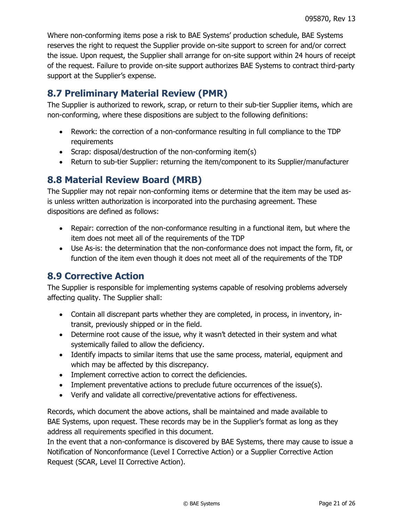Where non-conforming items pose a risk to BAE Systems' production schedule, BAE Systems reserves the right to request the Supplier provide on-site support to screen for and/or correct the issue. Upon request, the Supplier shall arrange for on-site support within 24 hours of receipt of the request. Failure to provide on-site support authorizes BAE Systems to contract third-party support at the Supplier's expense.

# <span id="page-20-0"></span>**8.7 Preliminary Material Review (PMR)**

The Supplier is authorized to rework, scrap, or return to their sub-tier Supplier items, which are non-conforming, where these dispositions are subject to the following definitions:

- Rework: the correction of a non-conformance resulting in full compliance to the TDP requirements
- Scrap: disposal/destruction of the non-conforming item(s)
- Return to sub-tier Supplier: returning the item/component to its Supplier/manufacturer

# <span id="page-20-1"></span>**8.8 Material Review Board (MRB)**

The Supplier may not repair non-conforming items or determine that the item may be used asis unless written authorization is incorporated into the purchasing agreement. These dispositions are defined as follows:

- Repair: correction of the non-conformance resulting in a functional item, but where the item does not meet all of the requirements of the TDP
- Use As-is: the determination that the non-conformance does not impact the form, fit, or function of the item even though it does not meet all of the requirements of the TDP

# <span id="page-20-2"></span>**8.9 Corrective Action**

The Supplier is responsible for implementing systems capable of resolving problems adversely affecting quality. The Supplier shall:

- Contain all discrepant parts whether they are completed, in process, in inventory, intransit, previously shipped or in the field.
- Determine root cause of the issue, why it wasn't detected in their system and what systemically failed to allow the deficiency.
- Identify impacts to similar items that use the same process, material, equipment and which may be affected by this discrepancy.
- Implement corrective action to correct the deficiencies.
- Implement preventative actions to preclude future occurrences of the issue(s).
- Verify and validate all corrective/preventative actions for effectiveness.

Records, which document the above actions, shall be maintained and made available to BAE Systems, upon request. These records may be in the Supplier's format as long as they address all requirements specified in this document.

In the event that a non-conformance is discovered by BAE Systems, there may cause to issue a Notification of Nonconformance (Level I Corrective Action) or a Supplier Corrective Action Request (SCAR, Level II Corrective Action).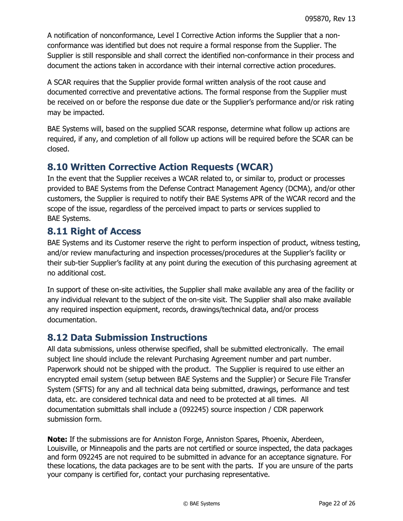A notification of nonconformance, Level I Corrective Action informs the Supplier that a nonconformance was identified but does not require a formal response from the Supplier. The Supplier is still responsible and shall correct the identified non-conformance in their process and document the actions taken in accordance with their internal corrective action procedures.

A SCAR requires that the Supplier provide formal written analysis of the root cause and documented corrective and preventative actions. The formal response from the Supplier must be received on or before the response due date or the Supplier's performance and/or risk rating may be impacted.

BAE Systems will, based on the supplied SCAR response, determine what follow up actions are required, if any, and completion of all follow up actions will be required before the SCAR can be closed.

# <span id="page-21-0"></span>**8.10 Written Corrective Action Requests (WCAR)**

In the event that the Supplier receives a WCAR related to, or similar to, product or processes provided to BAE Systems from the Defense Contract Management Agency (DCMA), and/or other customers, the Supplier is required to notify their BAE Systems APR of the WCAR record and the scope of the issue, regardless of the perceived impact to parts or services supplied to BAE Systems.

# <span id="page-21-1"></span>**8.11 Right of Access**

BAE Systems and its Customer reserve the right to perform inspection of product, witness testing, and/or review manufacturing and inspection processes/procedures at the Supplier's facility or their sub-tier Supplier's facility at any point during the execution of this purchasing agreement at no additional cost.

In support of these on-site activities, the Supplier shall make available any area of the facility or any individual relevant to the subject of the on-site visit. The Supplier shall also make available any required inspection equipment, records, drawings/technical data, and/or process documentation.

# <span id="page-21-2"></span>**8.12 Data Submission Instructions**

All data submissions, unless otherwise specified, shall be submitted electronically. The email subject line should include the relevant Purchasing Agreement number and part number. Paperwork should not be shipped with the product. The Supplier is required to use either an encrypted email system (setup between BAE Systems and the Supplier) or Secure File Transfer System (SFTS) for any and all technical data being submitted, drawings, performance and test data, etc. are considered technical data and need to be protected at all times. All documentation submittals shall include a (092245) source inspection / CDR paperwork submission form.

**Note:** If the submissions are for Anniston Forge, Anniston Spares, Phoenix, Aberdeen, Louisville, or Minneapolis and the parts are not certified or source inspected, the data packages and form 092245 are not required to be submitted in advance for an acceptance signature. For these locations, the data packages are to be sent with the parts. If you are unsure of the parts your company is certified for, contact your purchasing representative.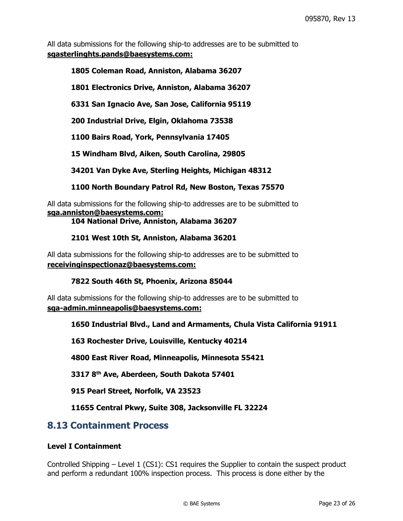All data submissions for the following ship-to addresses are to be submitted to **[sqasterlinghts.pands@baesystems.com:](mailto:sqasterlinghts.pands@baesystems.com)**

**1805 Coleman Road, Anniston, Alabama 36207**

**1801 Electronics Drive, Anniston, Alabama 36207**

**6331 San Ignacio Ave, San Jose, California 95119**

**200 Industrial Drive, Elgin, Oklahoma 73538**

**1100 Bairs Road, York, Pennsylvania 17405**

**15 Windham Blvd, Aiken, South Carolina, 29805**

**34201 Van Dyke Ave, Sterling Heights, Michigan 48312**

**1100 North Boundary Patrol Rd, New Boston, Texas 75570**

All data submissions for the following ship-to addresses are to be submitted to **[sqa.anniston@baesystems.com:](mailto:sqa.anniston@baesystems.com)**

**104 National Drive, Anniston, Alabama 36207**

#### **2101 West 10th St, Anniston, Alabama 36201**

All data submissions for the following ship-to addresses are to be submitted to **[receivinginspectionaz@baesystems.com:](mailto:receivinginspectionaz@baesystems.com)**

#### **7822 South 46th St, Phoenix, Arizona 85044**

All data submissions for the following ship-to addresses are to be submitted to **[sqa-admin.minneapolis@baesystems.com:](mailto:sqa-admin.minneapolis@baesystems.com)**

**1650 Industrial Blvd., Land and Armaments, Chula Vista California 91911**

**163 Rochester Drive, Louisville, Kentucky 40214**

**4800 East River Road, Minneapolis, Minnesota 55421**

**3317 8th Ave, Aberdeen, South Dakota 57401**

**915 Pearl Street, Norfolk, VA 23523** 

**11655 Central Pkwy, Suite 308, Jacksonville FL 32224** 

#### <span id="page-22-0"></span>**8.13 Containment Process**

#### **Level I Containment**

Controlled Shipping – Level 1 (CS1): CS1 requires the Supplier to contain the suspect product and perform a redundant 100% inspection process. This process is done either by the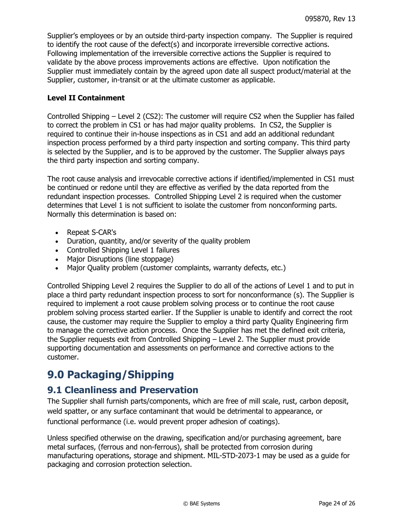Supplier's employees or by an outside third-party inspection company. The Supplier is required to identify the root cause of the defect(s) and incorporate irreversible corrective actions. Following implementation of the irreversible corrective actions the Supplier is required to validate by the above process improvements actions are effective. Upon notification the Supplier must immediately contain by the agreed upon date all suspect product/material at the Supplier, customer, in-transit or at the ultimate customer as applicable.

#### **Level II Containment**

Controlled Shipping – Level 2 (CS2): The customer will require CS2 when the Supplier has failed to correct the problem in CS1 or has had major quality problems. In CS2, the Supplier is required to continue their in-house inspections as in CS1 and add an additional redundant inspection process performed by a third party inspection and sorting company. This third party is selected by the Supplier, and is to be approved by the customer. The Supplier always pays the third party inspection and sorting company.

The root cause analysis and irrevocable corrective actions if identified/implemented in CS1 must be continued or redone until they are effective as verified by the data reported from the redundant inspection processes. Controlled Shipping Level 2 is required when the customer determines that Level 1 is not sufficient to isolate the customer from nonconforming parts. Normally this determination is based on:

- Repeat S-CAR's
- Duration, quantity, and/or severity of the quality problem
- Controlled Shipping Level 1 failures
- Major Disruptions (line stoppage)
- Major Quality problem (customer complaints, warranty defects, etc.)

Controlled Shipping Level 2 requires the Supplier to do all of the actions of Level 1 and to put in place a third party redundant inspection process to sort for nonconformance (s). The Supplier is required to implement a root cause problem solving process or to continue the root cause problem solving process started earlier. If the Supplier is unable to identify and correct the root cause, the customer may require the Supplier to employ a third party Quality Engineering firm to manage the corrective action process. Once the Supplier has met the defined exit criteria, the Supplier requests exit from Controlled Shipping – Level 2. The Supplier must provide supporting documentation and assessments on performance and corrective actions to the customer.

# <span id="page-23-0"></span>**9.0 Packaging/Shipping**

## <span id="page-23-1"></span>**9.1 Cleanliness and Preservation**

The Supplier shall furnish parts/components, which are free of mill scale, rust, carbon deposit, weld spatter, or any surface contaminant that would be detrimental to appearance, or functional performance (i.e. would prevent proper adhesion of coatings).

Unless specified otherwise on the drawing, specification and/or purchasing agreement, bare metal surfaces, (ferrous and non-ferrous), shall be protected from corrosion during manufacturing operations, storage and shipment. MIL-STD-2073-1 may be used as a guide for packaging and corrosion protection selection.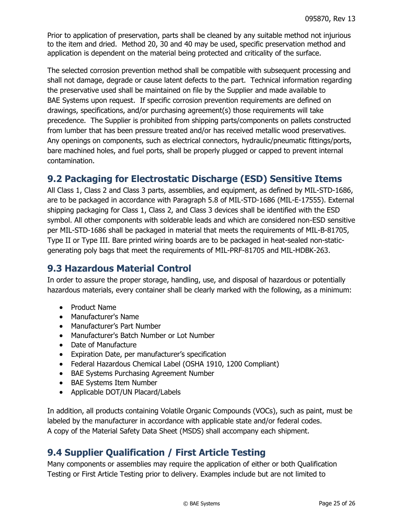Prior to application of preservation, parts shall be cleaned by any suitable method not injurious to the item and dried. Method 20, 30 and 40 may be used, specific preservation method and application is dependent on the material being protected and criticality of the surface.

The selected corrosion prevention method shall be compatible with subsequent processing and shall not damage, degrade or cause latent defects to the part. Technical information regarding the preservative used shall be maintained on file by the Supplier and made available to BAE Systems upon request. If specific corrosion prevention requirements are defined on drawings, specifications, and/or purchasing agreement(s) those requirements will take precedence. The Supplier is prohibited from shipping parts/components on pallets constructed from lumber that has been pressure treated and/or has received metallic wood preservatives. Any openings on components, such as electrical connectors, hydraulic/pneumatic fittings/ports, bare machined holes, and fuel ports, shall be properly plugged or capped to prevent internal contamination.

# <span id="page-24-0"></span>**9.2 Packaging for Electrostatic Discharge (ESD) Sensitive Items**

All Class 1, Class 2 and Class 3 parts, assemblies, and equipment, as defined by MIL-STD-1686, are to be packaged in accordance with Paragraph 5.8 of MIL-STD-1686 (MIL-E-17555). External shipping packaging for Class 1, Class 2, and Class 3 devices shall be identified with the ESD symbol. All other components with solderable leads and which are considered non-ESD sensitive per MIL-STD-1686 shall be packaged in material that meets the requirements of MIL-B-81705, Type II or Type III. Bare printed wiring boards are to be packaged in heat-sealed non-staticgenerating poly bags that meet the requirements of MIL-PRF-81705 and MIL-HDBK-263.

# <span id="page-24-1"></span>**9.3 Hazardous Material Control**

In order to assure the proper storage, handling, use, and disposal of hazardous or potentially hazardous materials, every container shall be clearly marked with the following, as a minimum:

- Product Name
- Manufacturer's Name
- Manufacturer's Part Number
- Manufacturer's Batch Number or Lot Number
- Date of Manufacture
- Expiration Date, per manufacturer's specification
- Federal Hazardous Chemical Label (OSHA 1910, 1200 Compliant)
- BAE Systems Purchasing Agreement Number
- BAE Systems Item Number
- Applicable DOT/UN Placard/Labels

In addition, all products containing Volatile Organic Compounds (VOCs), such as paint, must be labeled by the manufacturer in accordance with applicable state and/or federal codes. A copy of the Material Safety Data Sheet (MSDS) shall accompany each shipment.

# <span id="page-24-2"></span>**9.4 Supplier Qualification / First Article Testing**

Many components or assemblies may require the application of either or both Qualification Testing or First Article Testing prior to delivery. Examples include but are not limited to